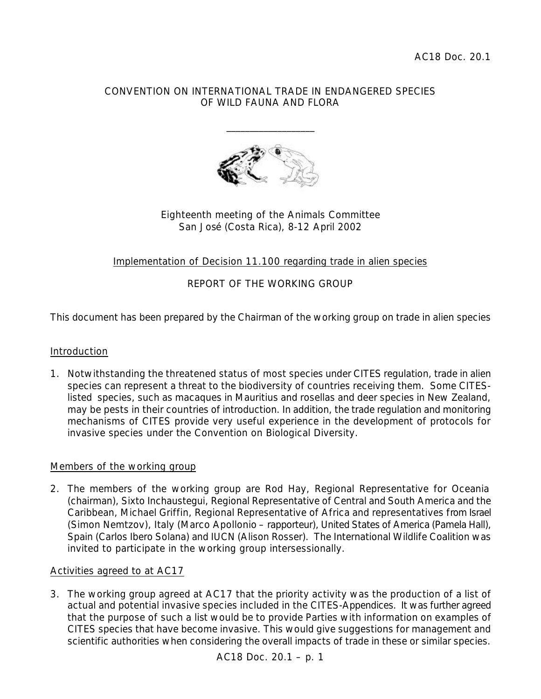### CONVENTION ON INTERNATIONAL TRADE IN ENDANGERED SPECIES OF WILD FAUNA AND FLORA

\_\_\_\_\_\_\_\_\_\_\_\_\_\_\_\_\_\_\_



### Eighteenth meeting of the Animals Committee San José (Costa Rica), 8-12 April 2002

# Implementation of Decision 11.100 regarding trade in alien species

# REPORT OF THE WORKING GROUP

This document has been prepared by the Chairman of the working group on trade in alien species

### Introduction

1. Notwithstanding the threatened status of most species under CITES regulation, trade in alien species can represent a threat to the biodiversity of countries receiving them. Some CITESlisted species, such as macaques in Mauritius and rosellas and deer species in New Zealand, may be pests in their countries of introduction. In addition, the trade regulation and monitoring mechanisms of CITES provide very useful experience in the development of protocols for invasive species under the Convention on Biological Diversity.

### Members of the working group

2. The members of the working group are Rod Hay, Regional Representative for Oceania (chairman), Sixto Inchaustegui, Regional Representative of Central and South America and the Caribbean, Michael Griffin, Regional Representative of Africa and representatives from Israel (Simon Nemtzov), Italy (Marco Apollonio – rapporteur), United States of America (Pamela Hall), Spain (Carlos Ibero Solana) and IUCN (Alison Rosser). The International Wildlife Coalition was invited to participate in the working group intersessionally.

### Activities agreed to at AC17

3. The working group agreed at AC17 that the priority activity was the production of a list of actual and potential invasive species included in the CITES-Appendices. It was further agreed that the purpose of such a list would be to provide Parties with information on examples of CITES species that have become invasive. This would give suggestions for management and scientific authorities when considering the overall impacts of trade in these or similar species.